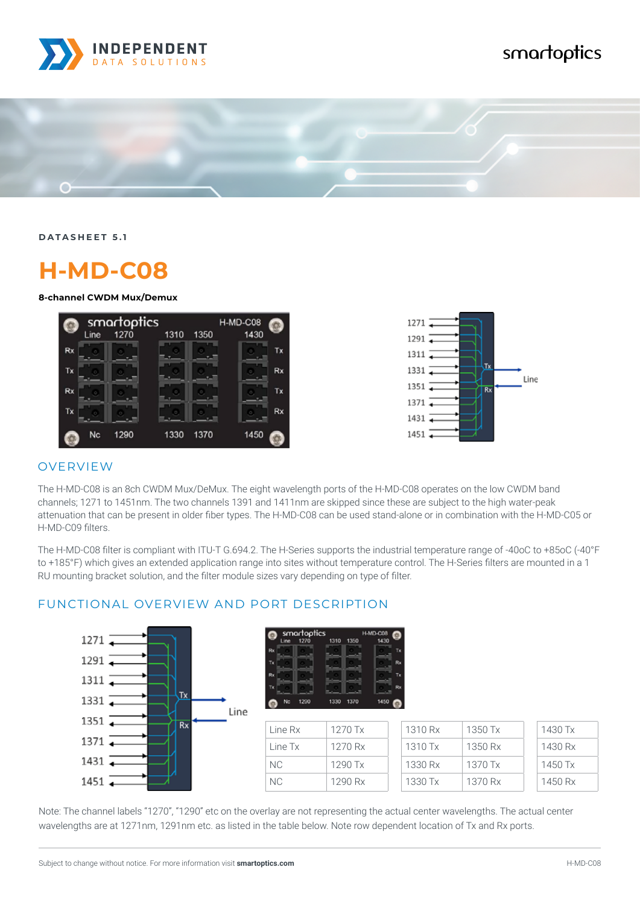

## smartoptics



**DATASHEET 5.1**

# **H-MD-C08**

**8-channel CWDM Mux/Demux**





#### OVERVIEW

The H-MD-C08 is an 8ch CWDM Mux/DeMux. The eight wavelength ports of the H-MD-C08 operates on the low CWDM band channels; 1271 to 1451nm. The two channels 1391 and 1411nm are skipped since these are subject to the high water-peak attenuation that can be present in older fiber types. The H-MD-C08 can be used stand-alone or in combination with the H-MD-C05 or H-MD-C09 filters.

The H-MD-C08 filter is compliant with ITU-T G.694.2. The H-Series supports the industrial temperature range of -40oC to +85oC (-40°F to +185°F) which gives an extended application range into sites without temperature control. The H-Series filters are mounted in a 1 RU mounting bracket solution, and the filter module sizes vary depending on type of filter.



FUNCTIONAL OVERVIEW AND PORT DESCRIPTION

### 1370 1330 1290 1450

| Line Rx | 1270 Tx   | 1310 Rx | 1350 Tx | 1430 Tx |
|---------|-----------|---------|---------|---------|
| Line Tx | 1270 Rx   | 1310 Tx | 1350 Rx | 1430 Rx |
| NC.     | $1290$ Tx | 1330 Rx | 1370 Tx | 1450 Tx |
| NC.     | 1290 Rx   | 1330 Tx | 1370 Rx | 1450 Rx |

Note: The channel labels "1270", "1290" etc on the overlay are not representing the actual center wavelengths. The actual center wavelengths are at 1271nm, 1291nm etc. as listed in the table below. Note row dependent location of Tx and Rx ports.